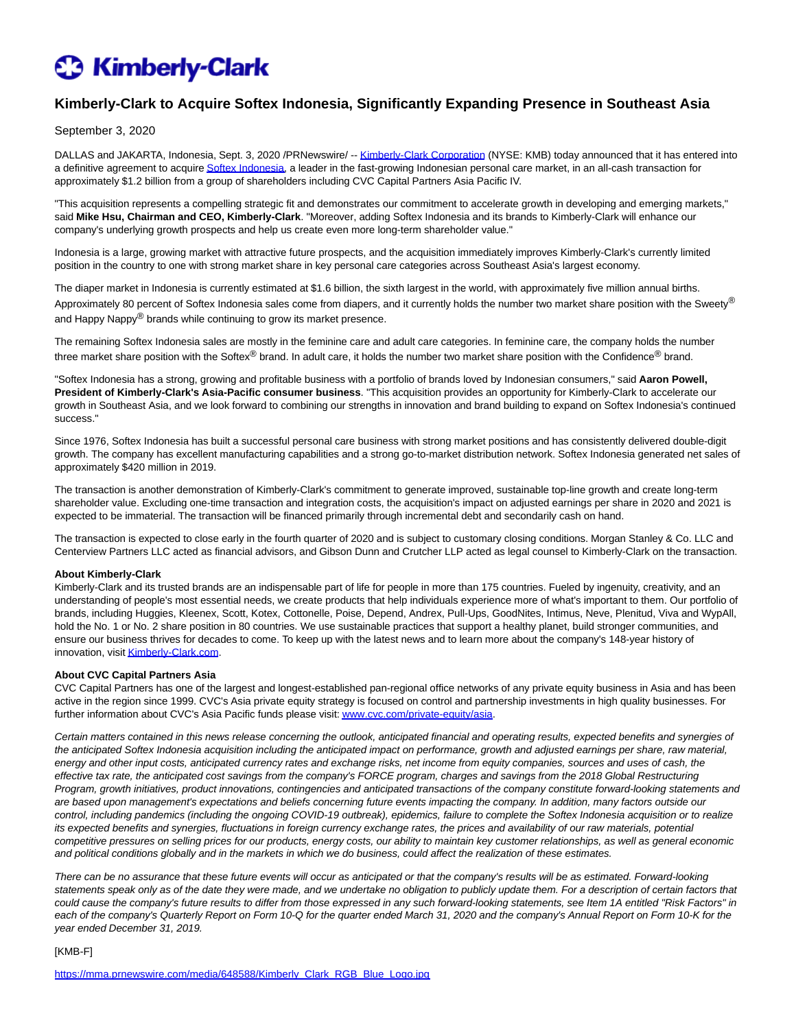# **C** Kimberly-Clark

## **Kimberly-Clark to Acquire Softex Indonesia, Significantly Expanding Presence in Southeast Asia**

September 3, 2020

DALLAS and JAKARTA, Indonesia, Sept. 3, 2020 /PRNewswire/ -[- Kimberly-Clark Corporation \(](https://c212.net/c/link/?t=0&l=en&o=2908346-1&h=4285177454&u=https%3A%2F%2Fwww.kimberly-clark.com%2F&a=Kimberly-Clark+Corporation)NYSE: KMB) today announced that it has entered into a definitive agreement to acquir[e Softex Indonesia,](https://c212.net/c/link/?t=0&l=en&o=2908346-1&h=2950760367&u=http%3A%2F%2Fsoftexindonesia.com%2F&a=Softex+Indonesia) a leader in the fast-growing Indonesian personal care market, in an all-cash transaction for approximately \$1.2 billion from a group of shareholders including CVC Capital Partners Asia Pacific IV.

"This acquisition represents a compelling strategic fit and demonstrates our commitment to accelerate growth in developing and emerging markets," said **Mike Hsu, Chairman and CEO, Kimberly-Clark**. "Moreover, adding Softex Indonesia and its brands to Kimberly-Clark will enhance our company's underlying growth prospects and help us create even more long-term shareholder value."

Indonesia is a large, growing market with attractive future prospects, and the acquisition immediately improves Kimberly-Clark's currently limited position in the country to one with strong market share in key personal care categories across Southeast Asia's largest economy.

The diaper market in Indonesia is currently estimated at \$1.6 billion, the sixth largest in the world, with approximately five million annual births. Approximately 80 percent of Softex Indonesia sales come from diapers, and it currently holds the number two market share position with the Sweety® and Happy Nappy® brands while continuing to grow its market presence.

The remaining Softex Indonesia sales are mostly in the feminine care and adult care categories. In feminine care, the company holds the number three market share position with the Softex® brand. In adult care, it holds the number two market share position with the Confidence® brand.

"Softex Indonesia has a strong, growing and profitable business with a portfolio of brands loved by Indonesian consumers," said **Aaron Powell, President of Kimberly-Clark's Asia-Pacific consumer business**. "This acquisition provides an opportunity for Kimberly-Clark to accelerate our growth in Southeast Asia, and we look forward to combining our strengths in innovation and brand building to expand on Softex Indonesia's continued success."

Since 1976, Softex Indonesia has built a successful personal care business with strong market positions and has consistently delivered double-digit growth. The company has excellent manufacturing capabilities and a strong go-to-market distribution network. Softex Indonesia generated net sales of approximately \$420 million in 2019.

The transaction is another demonstration of Kimberly-Clark's commitment to generate improved, sustainable top-line growth and create long-term shareholder value. Excluding one-time transaction and integration costs, the acquisition's impact on adjusted earnings per share in 2020 and 2021 is expected to be immaterial. The transaction will be financed primarily through incremental debt and secondarily cash on hand.

The transaction is expected to close early in the fourth quarter of 2020 and is subject to customary closing conditions. Morgan Stanley & Co. LLC and Centerview Partners LLC acted as financial advisors, and Gibson Dunn and Crutcher LLP acted as legal counsel to Kimberly-Clark on the transaction.

#### **About Kimberly-Clark**

Kimberly-Clark and its trusted brands are an indispensable part of life for people in more than 175 countries. Fueled by ingenuity, creativity, and an understanding of people's most essential needs, we create products that help individuals experience more of what's important to them. Our portfolio of brands, including Huggies, Kleenex, Scott, Kotex, Cottonelle, Poise, Depend, Andrex, Pull-Ups, GoodNites, Intimus, Neve, Plenitud, Viva and WypAll, hold the No. 1 or No. 2 share position in 80 countries. We use sustainable practices that support a healthy planet, build stronger communities, and ensure our business thrives for decades to come. To keep up with the latest news and to learn more about the company's 148-year history of innovation, visi[t Kimberly-Clark.com.](https://c212.net/c/link/?t=0&l=en&o=2908346-1&h=2750226321&u=https%3A%2F%2Fwww.kimberly-clark.com%2F&a=Kimberly-Clark.com)

#### **About CVC Capital Partners Asia**

CVC Capital Partners has one of the largest and longest-established pan-regional office networks of any private equity business in Asia and has been active in the region since 1999. CVC's Asia private equity strategy is focused on control and partnership investments in high quality businesses. For further information about CVC's Asia Pacific funds please visit: www.cvc.com/private-equity/asia.

Certain matters contained in this news release concerning the outlook, anticipated financial and operating results, expected benefits and synergies of the anticipated Softex Indonesia acquisition including the anticipated impact on performance, growth and adjusted earnings per share, raw material, energy and other input costs, anticipated currency rates and exchange risks, net income from equity companies, sources and uses of cash, the effective tax rate, the anticipated cost savings from the company's FORCE program, charges and savings from the 2018 Global Restructuring Program, growth initiatives, product innovations, contingencies and anticipated transactions of the company constitute forward-looking statements and are based upon management's expectations and beliefs concerning future events impacting the company. In addition, many factors outside our control, including pandemics (including the ongoing COVID-19 outbreak), epidemics, failure to complete the Softex Indonesia acquisition or to realize its expected benefits and synergies, fluctuations in foreign currency exchange rates, the prices and availability of our raw materials, potential competitive pressures on selling prices for our products, energy costs, our ability to maintain key customer relationships, as well as general economic and political conditions globally and in the markets in which we do business, could affect the realization of these estimates.

There can be no assurance that these future events will occur as anticipated or that the company's results will be as estimated. Forward-looking statements speak only as of the date they were made, and we undertake no obligation to publicly update them. For a description of certain factors that could cause the company's future results to differ from those expressed in any such forward-looking statements, see Item 1A entitled "Risk Factors" in each of the company's Quarterly Report on Form 10-Q for the quarter ended March 31, 2020 and the company's Annual Report on Form 10-K for the year ended December 31, 2019.

#### [KMB-F]